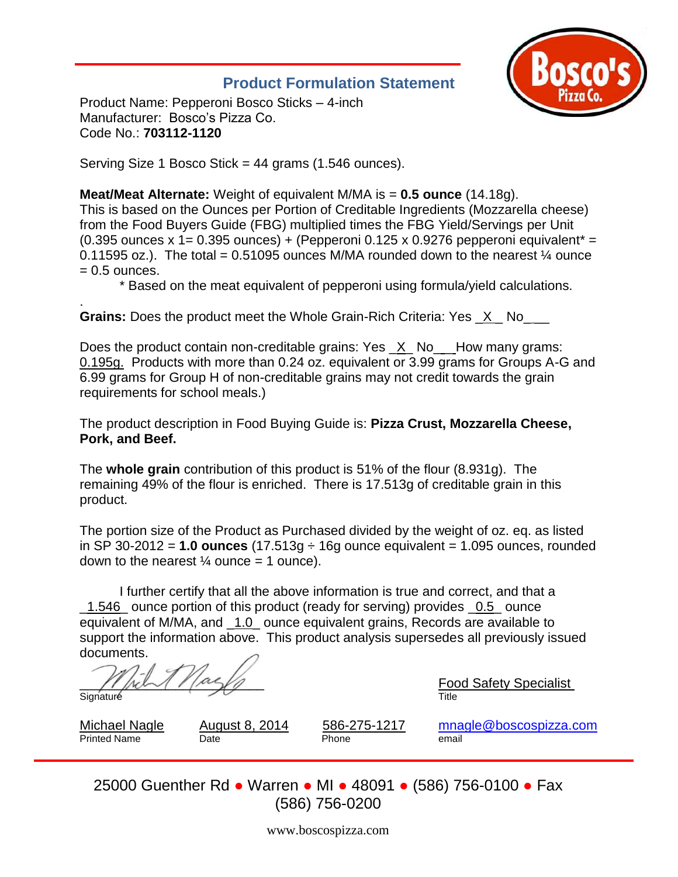## **Product Formulation Statement**



Product Name: Pepperoni Bosco Sticks – 4-inch Manufacturer: Bosco's Pizza Co. Code No.: **703112-1120** 

Serving Size 1 Bosco Stick = 44 grams (1.546 ounces).

## **Meat/Meat Alternate:** Weight of equivalent M/MA is = **0.5 ounce** (14.18g).

This is based on the Ounces per Portion of Creditable Ingredients (Mozzarella cheese) from the Food Buyers Guide (FBG) multiplied times the FBG Yield/Servings per Unit (0.395 ounces x 1= 0.395 ounces) + (Pepperoni 0.125 x 0.9276 pepperoni equivalent<sup>\*</sup> = 0.11595 oz.). The total = 0.51095 ounces M/MA rounded down to the nearest  $\frac{1}{4}$  ounce  $= 0.5$  ounces.

\* Based on the meat equivalent of pepperoni using formula/yield calculations.

. **Grains:** Does the product meet the Whole Grain-Rich Criteria: Yes \_X \_ No\_ \_\_

Does the product contain non-creditable grains: Yes \_X\_No\_ \_ How many grams: 0.195g. Products with more than 0.24 oz. equivalent or 3.99 grams for Groups A-G and 6.99 grams for Group H of non-creditable grains may not credit towards the grain requirements for school meals.)

The product description in Food Buying Guide is: **Pizza Crust, Mozzarella Cheese, Pork, and Beef.**

The **whole grain** contribution of this product is 51% of the flour (8.931g). The remaining 49% of the flour is enriched. There is 17.513g of creditable grain in this product.

The portion size of the Product as Purchased divided by the weight of oz. eq. as listed in SP 30-2012 = **1.0 ounces** (17.513g ÷ 16g ounce equivalent = 1.095 ounces, rounded down to the nearest  $\frac{1}{4}$  ounce = 1 ounce).

I further certify that all the above information is true and correct, and that a \_1.546\_ ounce portion of this product (ready for serving) provides \_0.5\_ ounce equivalent of M/MA, and \_1.0\_ ounce equivalent grains, Records are available to support the information above. This product analysis supersedes all previously issued documents.

. \_\_\_\_\_\_\_\_\_\_\_\_\_\_\_\_\_\_\_\_\_\_\_\_\_ Food Safety Specialist Signature Title

Printed Name **Date Date Communist Phone email** 

Michael Nagle August 8, 2014 586-275-1217 [mnagle@boscospizza.com](mailto:mnagle@boscospizza.com)

25000 Guenther Rd ● Warren ● MI ● 48091 ● (586) 756-0100 ● Fax (586) 756-0200

www.boscospizza.com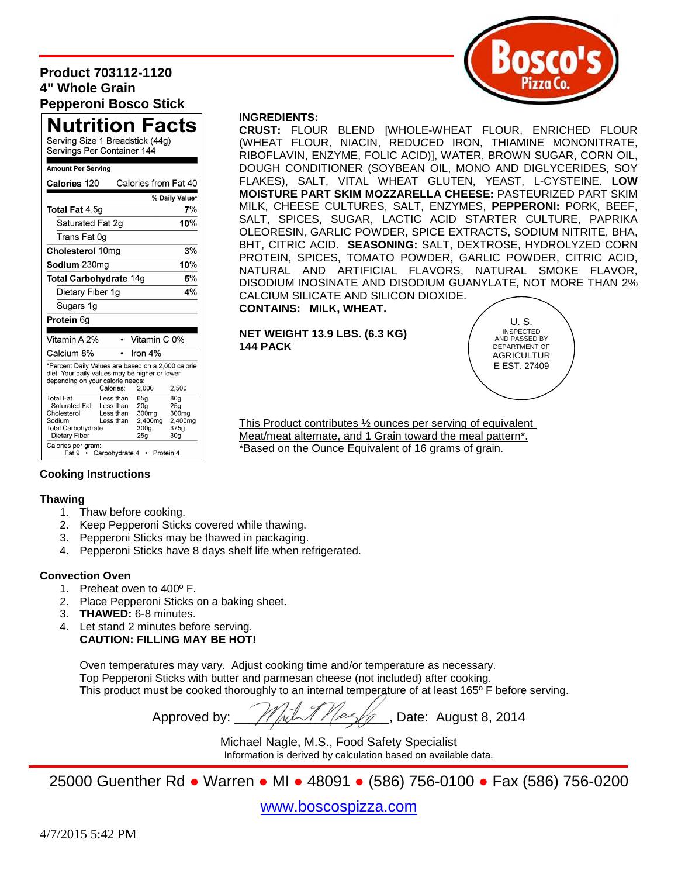## **Product 703112-1120 4" Whole Grain Pepperoni Bosco Stick**



## Nutrition Facts

Serving Size 1 Breadstick (44g) Servings Per Container 144

#### **Amount Per Serving**

| Calories 120                                                                                                                             |                                                  | Calories from Fat 40                                   |                                            |
|------------------------------------------------------------------------------------------------------------------------------------------|--------------------------------------------------|--------------------------------------------------------|--------------------------------------------|
|                                                                                                                                          |                                                  |                                                        | % Daily Value*                             |
| Total Fat 4.5g                                                                                                                           |                                                  |                                                        | 7%                                         |
| Saturated Fat 2g                                                                                                                         |                                                  | 10%                                                    |                                            |
| Trans Fat 0g                                                                                                                             |                                                  |                                                        |                                            |
| Cholesterol 10mg                                                                                                                         | 3%                                               |                                                        |                                            |
| Sodium 230mg                                                                                                                             | 10%                                              |                                                        |                                            |
| Total Carbohydrate 14g                                                                                                                   | 5%                                               |                                                        |                                            |
| Dietary Fiber 1g                                                                                                                         |                                                  | 4%                                                     |                                            |
| Sugars 1g                                                                                                                                |                                                  |                                                        |                                            |
| Protein 6g                                                                                                                               |                                                  |                                                        |                                            |
| Vitamin A 2%                                                                                                                             |                                                  | Vitamin C 0%                                           |                                            |
|                                                                                                                                          |                                                  |                                                        |                                            |
| Calcium 8%                                                                                                                               |                                                  | Iron 4%                                                |                                            |
| *Percent Daily Values are based on a 2,000 calorie<br>diet. Your daily values may be higher or lower<br>depending on your calorie needs: | Calories:                                        | 2,000                                                  | 2,500                                      |
| <b>Total Fat</b><br>Saturated Fat<br>Cholesterol                                                                                         | Less than<br>Less than<br>Less than<br>Less than | 65a<br>20 <sub>a</sub><br>300 <sub>mg</sub><br>2,400mg | 80 <sub>g</sub><br>25a<br>300mg<br>2.400mg |
| Sodium<br><b>Total Carbohydrate</b><br>Dietary Fiber<br>Calories per gram:                                                               |                                                  | 300 <sub>g</sub><br>25g                                | 375q<br>30 <sub>g</sub>                    |

#### **INGREDIENTS:**

**CRUST:** FLOUR BLEND [WHOLE-WHEAT FLOUR, ENRICHED FLOUR (WHEAT FLOUR, NIACIN, REDU*C*ED IRON, THIAMINE MONONITRATE, RIBOFLAVIN, ENZYME, FOLIC ACID)], WATER, BROWN SUGAR, CORN OIL, DOUGH CONDITIONER (SOYBEAN OIL, MONO AND DIGLYCERIDES, SOY FLAKES), SALT, VITAL WHEAT GLUTEN, YEAST, L-CYSTEINE. **LOW MOISTURE PART SKIM MOZZARELLA CHEESE:** PASTEURIZED PART SKIM MILK, CHEESE CULTURES, SALT, ENZYMES, **PEPPERONI:** PORK, BEEF, SALT, SPICES, SUGAR, LACTIC ACID STARTER CULTURE, PAPRIKA OLEORESIN, GARLIC POWDER, SPICE EXTRACTS, SODIUM NITRITE, BHA, BHT, CITRIC ACID. **SEASONING:** SALT, DEXTROSE, HYDROLYZED CORN PROTEIN, SPICES, TOMATO POWDER, GARLIC POWDER, CITRIC ACID, NATURAL AND ARTIFICIAL FLAVORS, NATURAL SMOKE FLAVOR, DISODIUM INOSINATE AND DISODIUM GUANYLATE, NOT MORE THAN 2% CALCIUM SILICATE AND SILICON DIOXIDE.

## **CONTAINS: MILK, WHEAT.**

#### **NET WEIGHT 13.9 LBS. (6.3 KG) 144 PACK**

U. S. INSPECTED AND PASSED BY DEPARTMENT OF **AGRICULTUR** E EST. 27409

This Product contributes ½ ounces per serving of equivalent Meat/meat alternate, and 1 Grain toward the meal pattern\*. \*Based on the Ounce Equivalent of 16 grams of grain.

### **Cooking Instructions**

### **Thawing**

- 1. Thaw before cooking.
- 2. Keep Pepperoni Sticks covered while thawing.
- 3. Pepperoni Sticks may be thawed in packaging.
- 4. Pepperoni Sticks have 8 days shelf life when refrigerated.

## **Convection Oven**

- 1. Preheat oven to 400º F.
- 2. Place Pepperoni Sticks on a baking sheet.
- 3. **THAWED:** 6-8 minutes.
- 4. Let stand 2 minutes before serving. **CAUTION: FILLING MAY BE HOT!**

Oven temperatures may vary. Adjust cooking time and/or temperature as necessary. Top Pepperoni Sticks with butter and parmesan cheese (not included) after cooking. This product must be cooked thoroughly to an internal temperature of at least 165<sup>°</sup> F before serving.

Approved by:  $\frac{1}{4}$  /  $\frac{1}{4}$  /  $\frac{1}{4}$  /  $\frac{1}{4}$  /  $\frac{1}{4}$  /  $\frac{1}{4}$  Date: August 8, 2014

Michael Nagle, M.S., Food Safety Specialist Information is derived by calculation based on available data.

25000 Guenther Rd ● Warren ● MI ● 48091 ● (586) 756-0100 ● Fax (586) 756-0200

[www.boscospizza.com](http://www.boscospizza.com/)